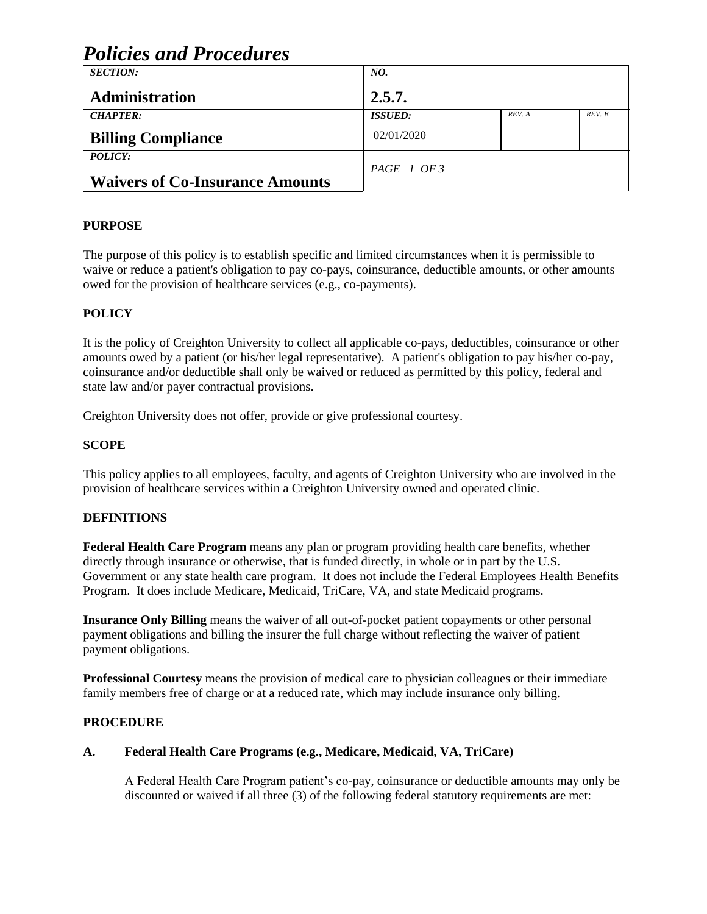| <b>Policies and Procedures</b>         |                 |        |        |  |  |
|----------------------------------------|-----------------|--------|--------|--|--|
| <b>SECTION:</b>                        | NO.             |        |        |  |  |
| Administration                         | 2.5.7.          |        |        |  |  |
| <b>CHAPTER:</b>                        | <b>ISSUED:</b>  | REV. A | REV. B |  |  |
| <b>Billing Compliance</b>              | 02/01/2020      |        |        |  |  |
| POLICY:                                | $PAGE \mid OF3$ |        |        |  |  |
| <b>Waivers of Co-Insurance Amounts</b> |                 |        |        |  |  |

# **PURPOSE**

The purpose of this policy is to establish specific and limited circumstances when it is permissible to waive or reduce a patient's obligation to pay co-pays, coinsurance, deductible amounts, or other amounts owed for the provision of healthcare services (e.g., co-payments).

# **POLICY**

It is the policy of Creighton University to collect all applicable co-pays, deductibles, coinsurance or other amounts owed by a patient (or his/her legal representative). A patient's obligation to pay his/her co-pay, coinsurance and/or deductible shall only be waived or reduced as permitted by this policy, federal and state law and/or payer contractual provisions.

Creighton University does not offer, provide or give professional courtesy.

# **SCOPE**

This policy applies to all employees, faculty, and agents of Creighton University who are involved in the provision of healthcare services within a Creighton University owned and operated clinic.

# **DEFINITIONS**

**Federal Health Care Program** means any plan or program providing health care benefits, whether directly through insurance or otherwise, that is funded directly, in whole or in part by the U.S. Government or any state health care program. It does not include the Federal Employees Health Benefits Program. It does include Medicare, Medicaid, TriCare, VA, and state Medicaid programs.

**Insurance Only Billing** means the waiver of all out-of-pocket patient copayments or other personal payment obligations and billing the insurer the full charge without reflecting the waiver of patient payment obligations.

**Professional Courtesy** means the provision of medical care to physician colleagues or their immediate family members free of charge or at a reduced rate, which may include insurance only billing.

### **PROCEDURE**

### **A. Federal Health Care Programs (e.g., Medicare, Medicaid, VA, TriCare)**

A Federal Health Care Program patient's co-pay, coinsurance or deductible amounts may only be discounted or waived if all three (3) of the following federal statutory requirements are met: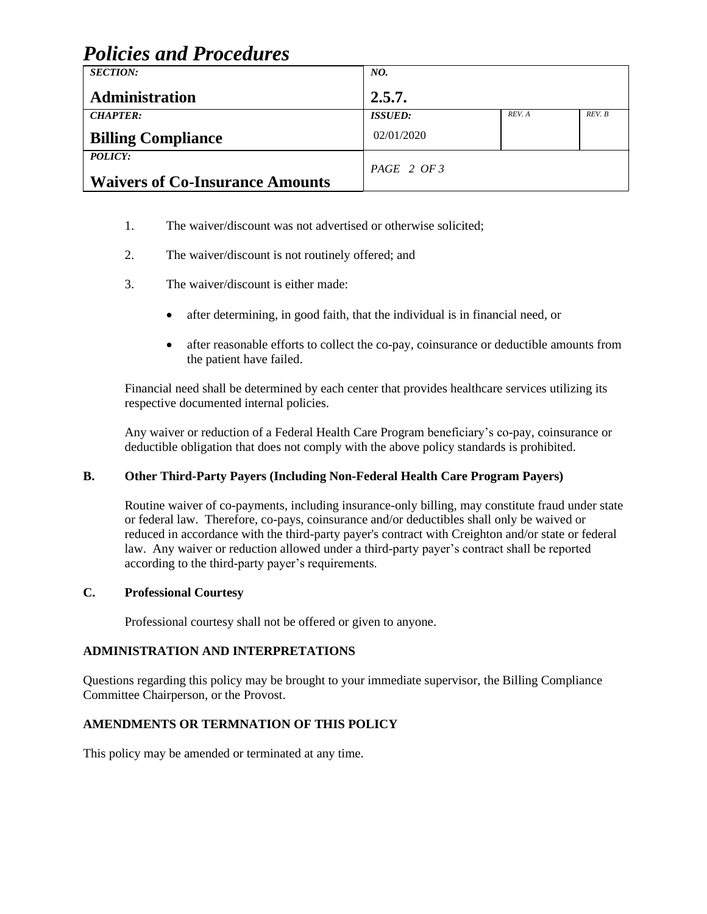# *Policies and Procedures*

| <b>SECTION:</b>                        | NO.                   |        |        |
|----------------------------------------|-----------------------|--------|--------|
|                                        |                       |        |        |
| Administration                         | 2.5.7.                |        |        |
| <b>CHAPTER:</b>                        | <i><b>ISSUED:</b></i> | REV. A | REV. B |
| <b>Billing Compliance</b>              | 02/01/2020            |        |        |
| POLICY:                                | PAGE 2 OF 3           |        |        |
| <b>Waivers of Co-Insurance Amounts</b> |                       |        |        |

- 1. The waiver/discount was not advertised or otherwise solicited;
- 2. The waiver/discount is not routinely offered; and
- 3. The waiver/discount is either made:
	- after determining, in good faith, that the individual is in financial need, or
	- after reasonable efforts to collect the co-pay, coinsurance or deductible amounts from the patient have failed.

Financial need shall be determined by each center that provides healthcare services utilizing its respective documented internal policies.

Any waiver or reduction of a Federal Health Care Program beneficiary's co-pay, coinsurance or deductible obligation that does not comply with the above policy standards is prohibited.

### **B. Other Third-Party Payers (Including Non-Federal Health Care Program Payers)**

Routine waiver of co-payments, including insurance-only billing, may constitute fraud under state or federal law. Therefore, co-pays, coinsurance and/or deductibles shall only be waived or reduced in accordance with the third-party payer's contract with Creighton and/or state or federal law. Any waiver or reduction allowed under a third-party payer's contract shall be reported according to the third-party payer's requirements.

### **C. Professional Courtesy**

Professional courtesy shall not be offered or given to anyone.

### **ADMINISTRATION AND INTERPRETATIONS**

Questions regarding this policy may be brought to your immediate supervisor, the Billing Compliance Committee Chairperson, or the Provost.

### **AMENDMENTS OR TERMNATION OF THIS POLICY**

This policy may be amended or terminated at any time.